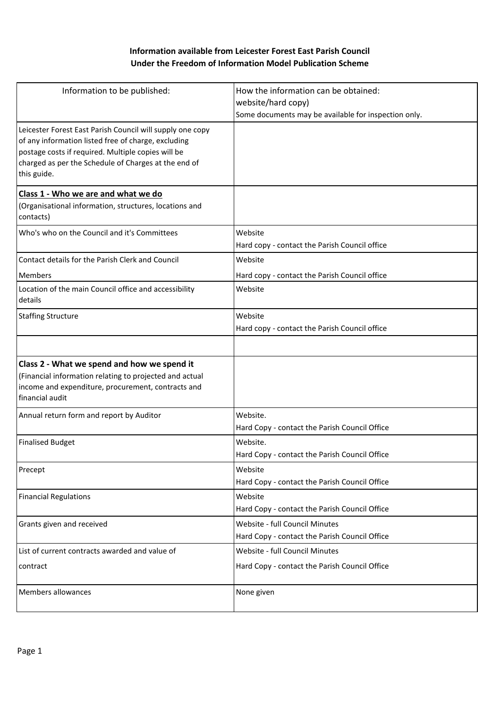## **Information available from Leicester Forest East Parish Council Under the Freedom of Information Model Publication Scheme**

| Information to be published:                                                                                                                                                                                                                  | How the information can be obtained:<br>website/hard copy)<br>Some documents may be available for inspection only. |  |
|-----------------------------------------------------------------------------------------------------------------------------------------------------------------------------------------------------------------------------------------------|--------------------------------------------------------------------------------------------------------------------|--|
| Leicester Forest East Parish Council will supply one copy<br>of any information listed free of charge, excluding<br>postage costs if required. Multiple copies will be<br>charged as per the Schedule of Charges at the end of<br>this guide. |                                                                                                                    |  |
| Class 1 - Who we are and what we do                                                                                                                                                                                                           |                                                                                                                    |  |
| (Organisational information, structures, locations and<br>contacts)                                                                                                                                                                           |                                                                                                                    |  |
| Who's who on the Council and it's Committees                                                                                                                                                                                                  | Website                                                                                                            |  |
|                                                                                                                                                                                                                                               | Hard copy - contact the Parish Council office                                                                      |  |
| Contact details for the Parish Clerk and Council                                                                                                                                                                                              | Website                                                                                                            |  |
| <b>Members</b>                                                                                                                                                                                                                                | Hard copy - contact the Parish Council office                                                                      |  |
| Location of the main Council office and accessibility<br>details                                                                                                                                                                              | Website                                                                                                            |  |
| <b>Staffing Structure</b>                                                                                                                                                                                                                     | Website                                                                                                            |  |
|                                                                                                                                                                                                                                               | Hard copy - contact the Parish Council office                                                                      |  |
|                                                                                                                                                                                                                                               |                                                                                                                    |  |
| Class 2 - What we spend and how we spend it<br>(Financial information relating to projected and actual<br>income and expenditure, procurement, contracts and<br>financial audit                                                               |                                                                                                                    |  |
| Annual return form and report by Auditor                                                                                                                                                                                                      | Website.<br>Hard Copy - contact the Parish Council Office                                                          |  |
| <b>Finalised Budget</b>                                                                                                                                                                                                                       | Website.<br>Hard Copy - contact the Parish Council Office                                                          |  |
| Precept                                                                                                                                                                                                                                       | Website<br>Hard Copy - contact the Parish Council Office                                                           |  |
| <b>Financial Regulations</b>                                                                                                                                                                                                                  | Website<br>Hard Copy - contact the Parish Council Office                                                           |  |
| Grants given and received                                                                                                                                                                                                                     | Website - full Council Minutes<br>Hard Copy - contact the Parish Council Office                                    |  |
| List of current contracts awarded and value of                                                                                                                                                                                                | Website - full Council Minutes                                                                                     |  |
| contract                                                                                                                                                                                                                                      | Hard Copy - contact the Parish Council Office                                                                      |  |
| Members allowances                                                                                                                                                                                                                            | None given                                                                                                         |  |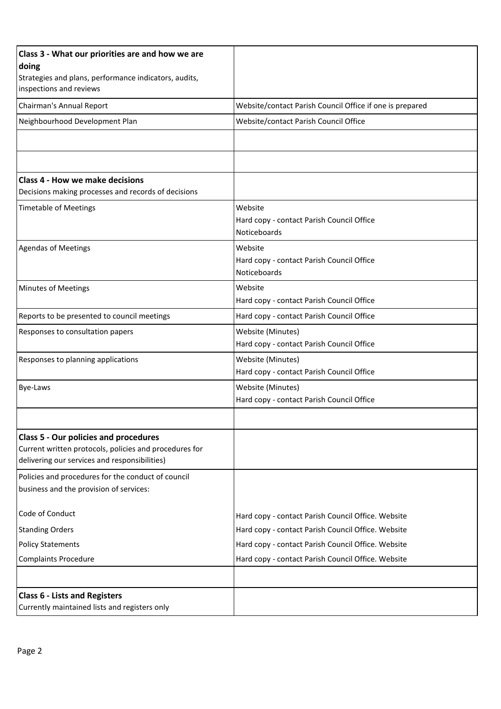| Class 3 - What our priorities are and how we are<br>doing                                                                                               |                                                                      |  |
|---------------------------------------------------------------------------------------------------------------------------------------------------------|----------------------------------------------------------------------|--|
| Strategies and plans, performance indicators, audits,<br>inspections and reviews                                                                        |                                                                      |  |
| Chairman's Annual Report                                                                                                                                | Website/contact Parish Council Office if one is prepared             |  |
| Neighbourhood Development Plan                                                                                                                          | Website/contact Parish Council Office                                |  |
|                                                                                                                                                         |                                                                      |  |
|                                                                                                                                                         |                                                                      |  |
| <b>Class 4 - How we make decisions</b><br>Decisions making processes and records of decisions                                                           |                                                                      |  |
| <b>Timetable of Meetings</b>                                                                                                                            | Website<br>Hard copy - contact Parish Council Office<br>Noticeboards |  |
| <b>Agendas of Meetings</b>                                                                                                                              | Website<br>Hard copy - contact Parish Council Office<br>Noticeboards |  |
| Minutes of Meetings                                                                                                                                     | Website<br>Hard copy - contact Parish Council Office                 |  |
| Reports to be presented to council meetings                                                                                                             | Hard copy - contact Parish Council Office                            |  |
| Responses to consultation papers                                                                                                                        | Website (Minutes)<br>Hard copy - contact Parish Council Office       |  |
| Responses to planning applications                                                                                                                      | Website (Minutes)<br>Hard copy - contact Parish Council Office       |  |
| Bye-Laws                                                                                                                                                | Website (Minutes)<br>Hard copy - contact Parish Council Office       |  |
|                                                                                                                                                         |                                                                      |  |
| <b>Class 5 - Our policies and procedures</b><br>Current written protocols, policies and procedures for<br>delivering our services and responsibilities) |                                                                      |  |
| Policies and procedures for the conduct of council<br>business and the provision of services:                                                           |                                                                      |  |
| Code of Conduct                                                                                                                                         | Hard copy - contact Parish Council Office. Website                   |  |
| <b>Standing Orders</b>                                                                                                                                  | Hard copy - contact Parish Council Office. Website                   |  |
| <b>Policy Statements</b>                                                                                                                                | Hard copy - contact Parish Council Office. Website                   |  |
| <b>Complaints Procedure</b>                                                                                                                             | Hard copy - contact Parish Council Office. Website                   |  |
|                                                                                                                                                         |                                                                      |  |
| <b>Class 6 - Lists and Registers</b><br>Currently maintained lists and registers only                                                                   |                                                                      |  |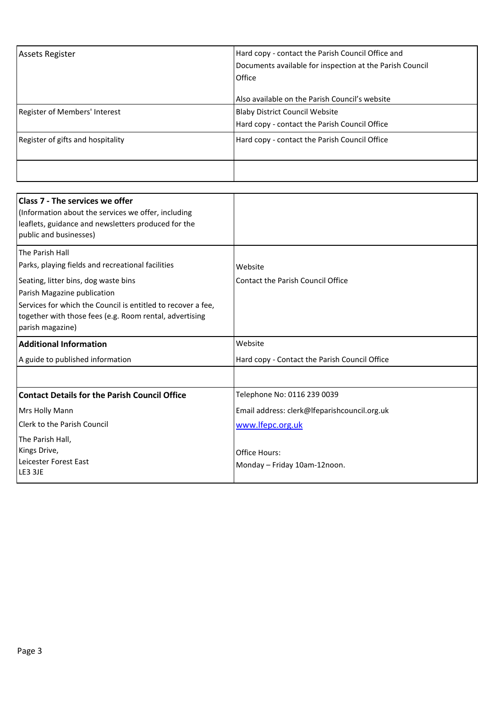| <b>Assets Register</b>            | Hard copy - contact the Parish Council Office and<br>Documents available for inspection at the Parish Council<br>Office |  |
|-----------------------------------|-------------------------------------------------------------------------------------------------------------------------|--|
|                                   | Also available on the Parish Council's website                                                                          |  |
| Register of Members' Interest     | <b>Blaby District Council Website</b>                                                                                   |  |
|                                   | Hard copy - contact the Parish Council Office                                                                           |  |
| Register of gifts and hospitality | Hard copy - contact the Parish Council Office                                                                           |  |
|                                   |                                                                                                                         |  |

| <b>Class 7 - The services we offer</b><br>(Information about the services we offer, including<br>leaflets, guidance and newsletters produced for the<br>public and businesses) |                                               |  |
|--------------------------------------------------------------------------------------------------------------------------------------------------------------------------------|-----------------------------------------------|--|
| The Parish Hall                                                                                                                                                                |                                               |  |
| Parks, playing fields and recreational facilities                                                                                                                              | Website                                       |  |
| Seating, litter bins, dog waste bins                                                                                                                                           | Contact the Parish Council Office             |  |
| Parish Magazine publication                                                                                                                                                    |                                               |  |
| Services for which the Council is entitled to recover a fee,                                                                                                                   |                                               |  |
| together with those fees (e.g. Room rental, advertising                                                                                                                        |                                               |  |
| parish magazine)                                                                                                                                                               |                                               |  |
| <b>Additional Information</b>                                                                                                                                                  | Website                                       |  |
| A guide to published information                                                                                                                                               | Hard copy - Contact the Parish Council Office |  |
|                                                                                                                                                                                |                                               |  |
| <b>Contact Details for the Parish Council Office</b>                                                                                                                           | Telephone No: 0116 239 0039                   |  |
| <b>Mrs Holly Mann</b>                                                                                                                                                          | Email address: clerk@lfeparishcouncil.org.uk  |  |
| Clerk to the Parish Council                                                                                                                                                    | www.lfepc.org.uk                              |  |
| The Parish Hall,                                                                                                                                                               |                                               |  |
| Kings Drive,                                                                                                                                                                   | Office Hours:                                 |  |
| Leicester Forest East                                                                                                                                                          | Monday - Friday 10am-12noon.                  |  |
| LE3 3JE                                                                                                                                                                        |                                               |  |